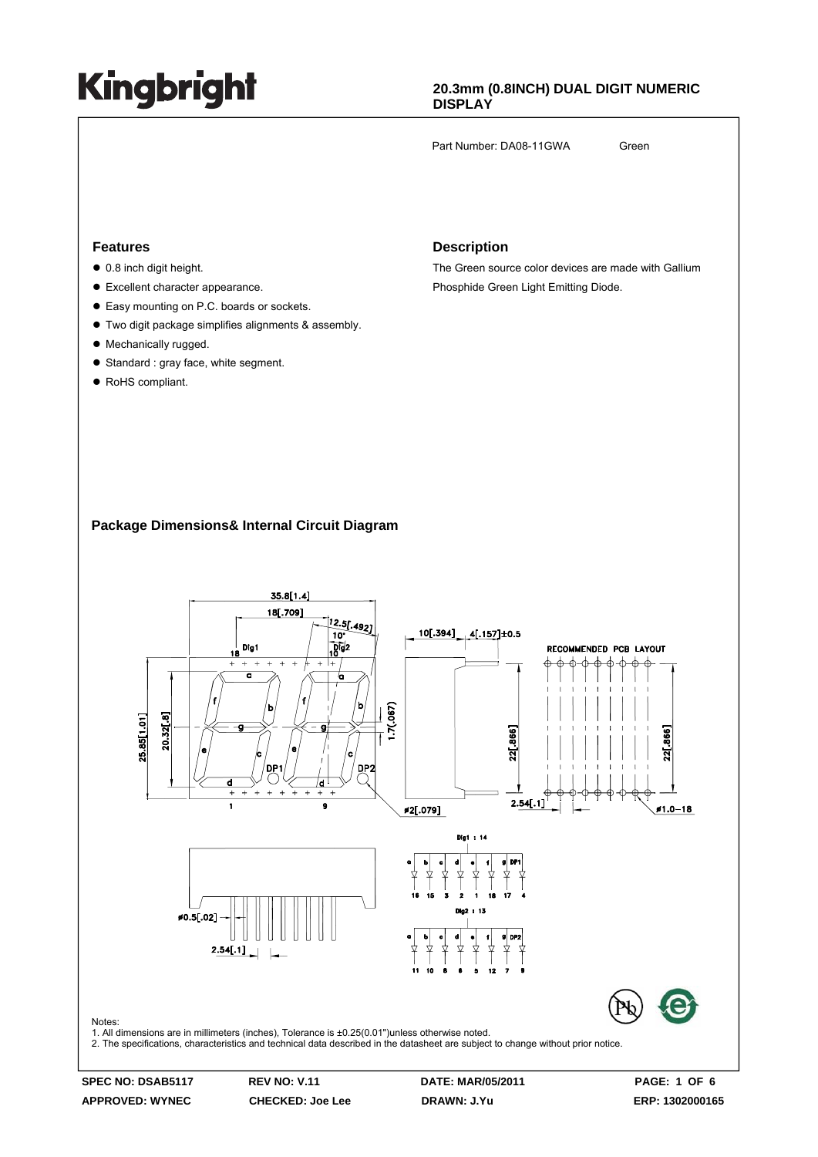### **20.3mm (0.8INCH) DUAL DIGIT NUMERIC DISPLAY**

Part Number: DA08-11GWA Green

### **Features**

- $\bullet$  0.8 inch digit height.
- Excellent character appearance.
- Easy mounting on P.C. boards or sockets.
- $\bullet$  Two digit package simplifies alignments & assembly.
- Mechanically rugged.
- $\bullet$  Standard : gray face, white segment.
- RoHS compliant.

#### **Description**

The Green source color devices are made with Gallium Phosphide Green Light Emitting Diode.

### **Package Dimensions& Internal Circuit Diagram**

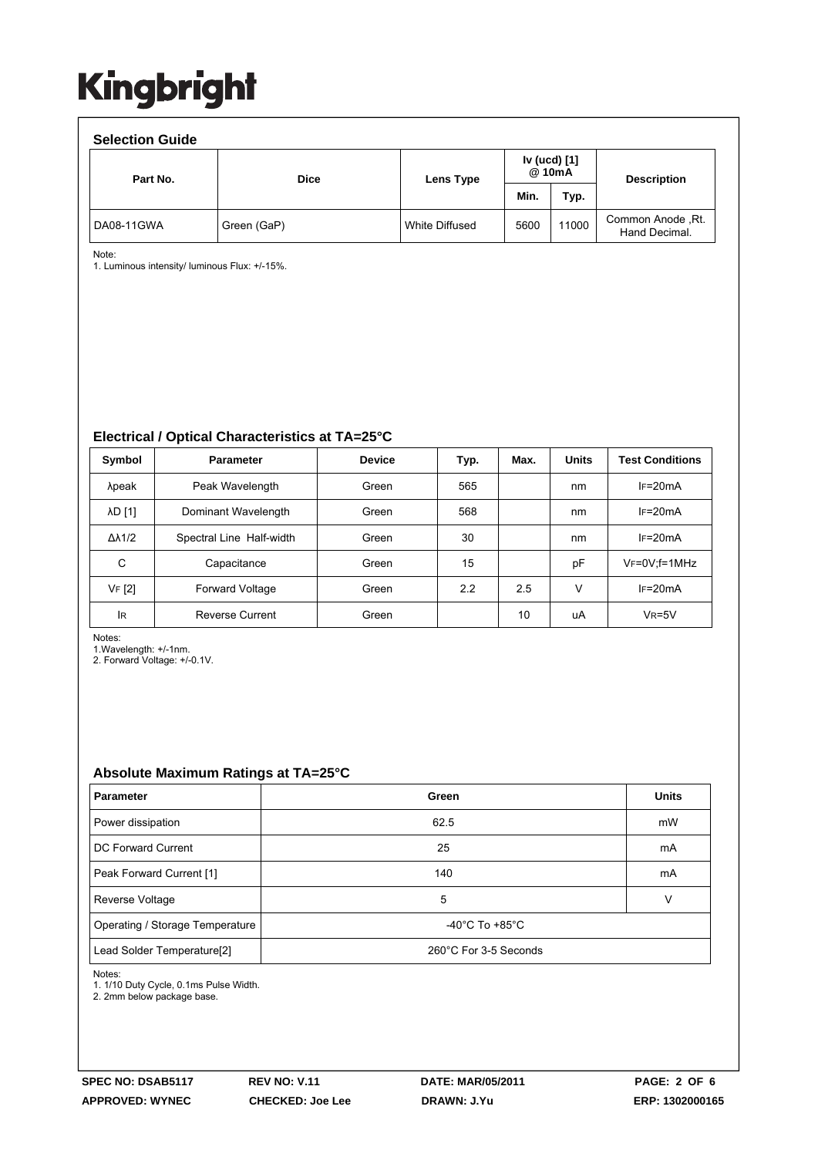| <b>Selection Guide</b> |             |                |                        |       |                                     |  |  |  |  |  |
|------------------------|-------------|----------------|------------------------|-------|-------------------------------------|--|--|--|--|--|
| Part No.               | <b>Dice</b> | Lens Type      | Iv (ucd) [1]<br>@ 10mA |       | <b>Description</b>                  |  |  |  |  |  |
|                        |             |                | Min.                   | Typ.  |                                     |  |  |  |  |  |
| DA08-11GWA             | Green (GaP) | White Diffused | 5600                   | 11000 | Common Anode , Rt.<br>Hand Decimal. |  |  |  |  |  |

Note:

1. Luminous intensity/ luminous Flux: +/-15%.

**Electrical / Optical Characteristics at TA=25°C**

| Symbol              | <b>Parameter</b>         | <b>Device</b> | Typ. | Max. | <b>Units</b> | <b>Test Conditions</b> |
|---------------------|--------------------------|---------------|------|------|--------------|------------------------|
| λpeak               | Peak Wavelength          | Green         | 565  |      | nm           | $IF=20mA$              |
| λD [1]              | Dominant Wavelength      | Green         | 568  |      | nm           | $IF=20mA$              |
| $\Delta\lambda$ 1/2 | Spectral Line Half-width | Green         | 30   |      | nm           | $IF=20mA$              |
| C                   | Capacitance              | Green         | 15   |      | pF           | $V_F = 0V$ ; f = 1MHz  |
| VF [2]              | <b>Forward Voltage</b>   | Green         | 2.2  | 2.5  | v            | $IF=20mA$              |
| lR                  | <b>Reverse Current</b>   | Green         |      | 10   | uA           | $VR=5V$                |

Notes:

1.Wavelength: +/-1nm.

2. Forward Voltage: +/-0.1V.

### **Absolute Maximum Ratings at TA=25°C**

| <b>Parameter</b>                                                        | Green | <b>Units</b> |
|-------------------------------------------------------------------------|-------|--------------|
| Power dissipation                                                       | 62.5  | mW           |
| DC Forward Current                                                      | 25    | mA           |
| Peak Forward Current [1]                                                | 140   | mA           |
| Reverse Voltage                                                         | 5     | v            |
| -40 $^{\circ}$ C To +85 $^{\circ}$ C<br>Operating / Storage Temperature |       |              |
| Lead Solder Temperature[2]<br>260°C For 3-5 Seconds                     |       |              |

Notes:

1. 1/10 Duty Cycle, 0.1ms Pulse Width.

2. 2mm below package base.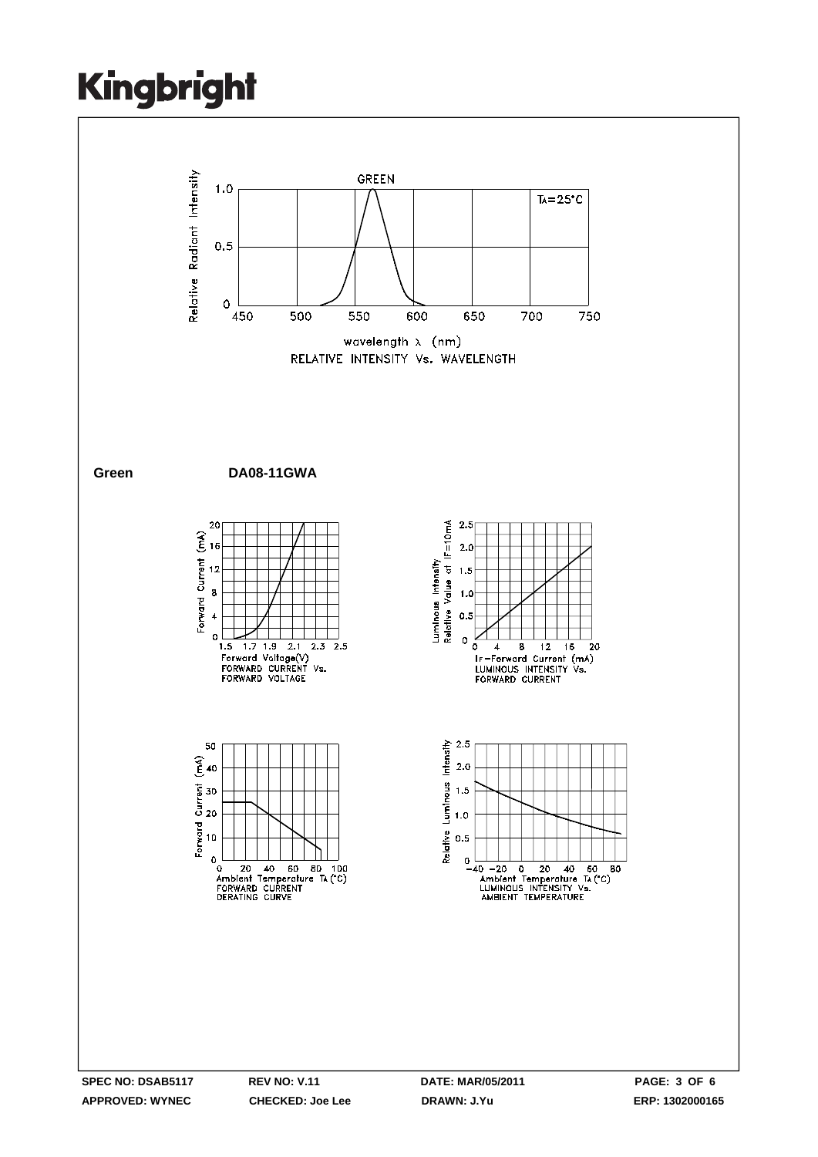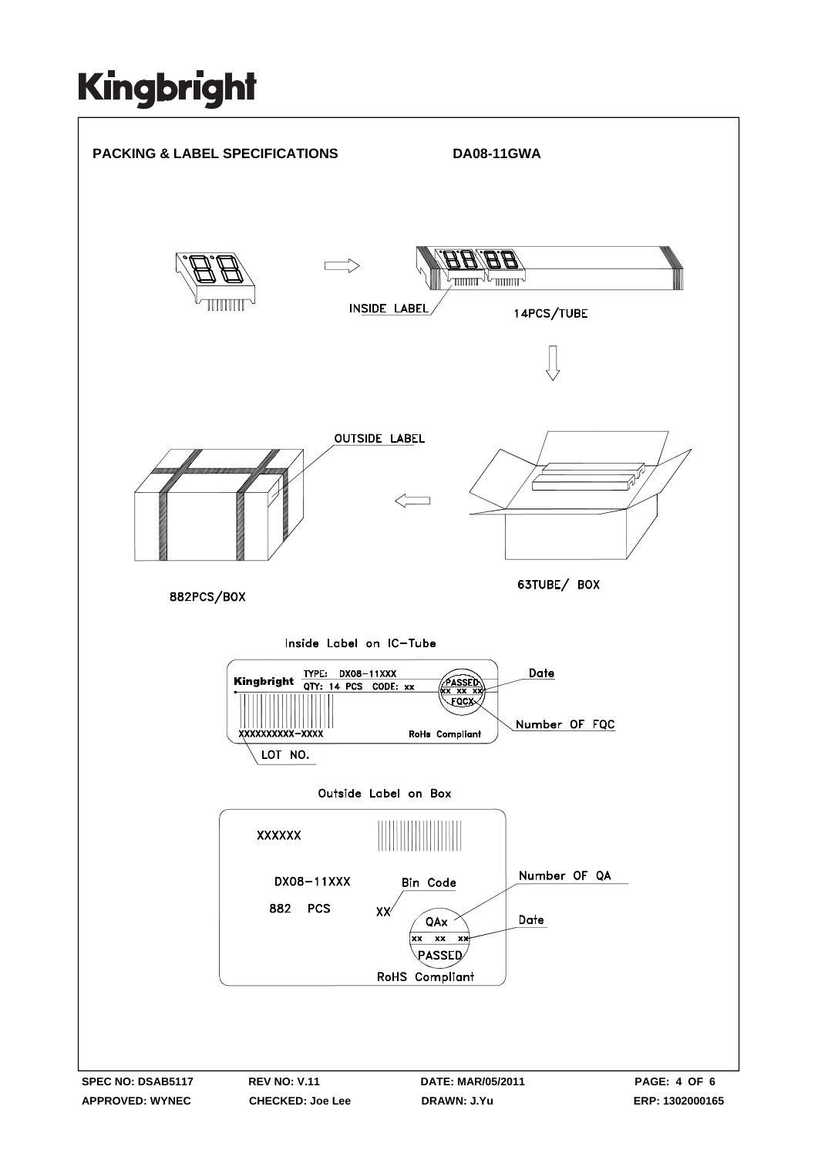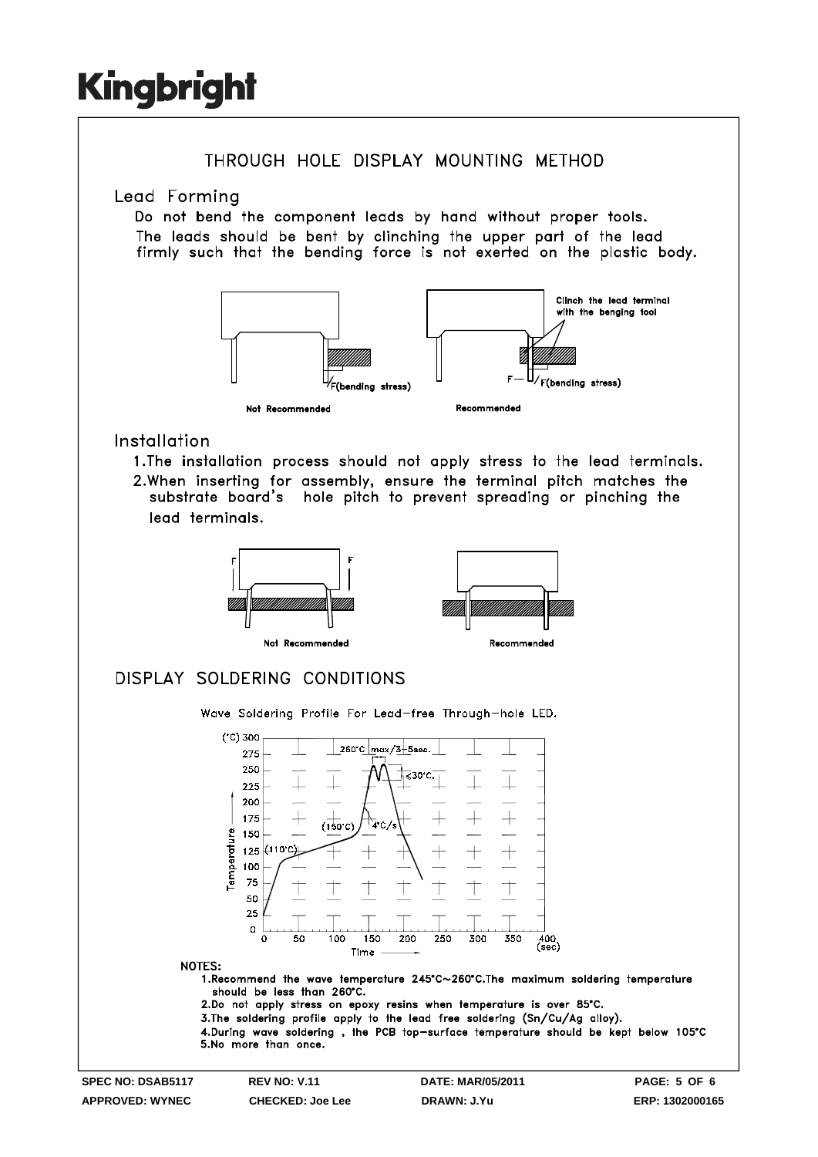![](_page_4_Figure_1.jpeg)